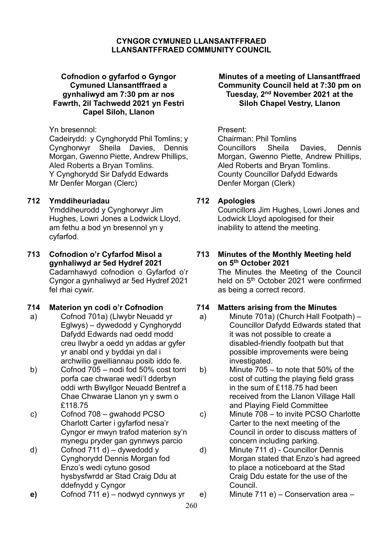### **CYNGOR CYMUNED LLANSANTFFRAED LLANSANTFFRAED COMMUNITY COUNCIL**

### **Cofnodion o gyfarfod o Gyngor Cymuned Llansantffraed a gynhaliwyd am 7:30 pm ar nos Fawrth, 2il Tachwedd 2021 yn Festri Capel Siloh, Llanon**

#### Yn bresennol: Present:

Cadeirydd: y Cynghorydd Phil Tomlins; y Cynghorwyr Sheila Davies, Dennis Morgan, Gwenno Piette, Andrew Phillips, Aled Roberts a Bryan Tomlins. Y Cynghorydd Sir Dafydd Edwards Mr Denfer Morgan (Clerc)

## **712 Ymddiheuriadau**

Ymddiheurodd y Cynghorwyr Jim Hughes, Lowri Jones a Lodwick Lloyd, am fethu a bod yn bresennol yn y cyfarfod.

#### **713 Cofnodion o'r Cyfarfod Misol a gynhaliwyd ar 5ed Hydref 2021** Cadarnhawyd cofnodion o Gyfarfod o'r Cyngor a gynhaliwyd ar 5ed Hydref 2021 fel rhai cywir.

- a) Cofnod 701a) (Llwybr Neuadd yr Eglwys) – dywedodd y Cynghorydd Dafydd Edwards nad oedd modd creu llwybr a oedd yn addas ar gyfer yr anabl ond y byddai yn dal i archwilio gwelliannau posib iddo fe.
- b) Cofnod 705 nodi fod 50% cost torri porfa cae chwarae wedi'I dderbyn oddi wrth Bwyllgor Neuadd Bentref a Chae Chwarae Llanon yn y swm o £118.75
- c) Cofnod 708 gwahodd PCSO Charlott Carter i gyfarfod nesa'r Cyngor er mwyn trafod materion sy'n mynegu pryder gan gynnwys parcio
- d) Cofnod 711 d) dywedodd y Cynghorydd Dennis Morgan fod Enzo's wedi cytuno gosod hysbysfwrdd ar Stad Craig Ddu at ddefnydd y Cyngor
- **e)** Cofnod 711 e) nodwyd cynnwys yr e) Minute 711 e) Conservation area –

### **Minutes of a meeting of Llansantffraed Community Council held at 7:30 pm on Tuesday, 2 nd November 2021 at the Siloh Chapel Vestry, Llanon**

Chairman: Phil Tomlins Councillors Sheila Davies, Dennis Morgan, Gwenno Piette, Andrew Phillips, Aled Roberts and Bryan Tomlins. County Councillor Dafydd Edwards Denfer Morgan (Clerk)

# **712 Apologies**

Councillors Jim Hughes, Lowri Jones and Lodwick Lloyd apologised for their inability to attend the meeting.

# **713 Minutes of the Monthly Meeting held on 5 th October 2021**

The Minutes the Meeting of the Council held on 5<sup>th</sup> October 2021 were confirmed as being a correct record.

# **714 Materion yn codi o'r Cofnodion 714 Matters arising from the Minutes**

- a) Minute 701a) (Church Hall Footpath) Councillor Dafydd Edwards stated that it was not possible to create a disabled-friendly footpath but that possible improvements were being investigated.
- b) Minute 705 to note that 50% of the cost of cutting the playing field grass in the sum of £118.75 had been received from the Llanon Village Hall and Playing Field Committee
- c) Minute 708 to invite PCSO Charlotte Carter to the next meeting of the Council in order to discuss matters of concern including parking.
- d) Minute 711 d) Councillor Dennis Morgan stated that Enzo's had agreed to place a noticeboard at the Stad Craig Ddu estate for the use of the Council.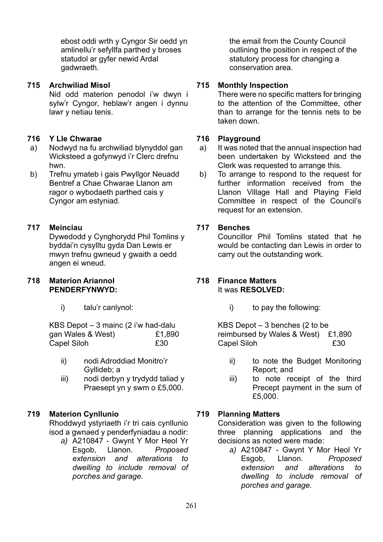ebost oddi wrth y Cyngor Sir oedd yn amlinellu'r sefyllfa parthed y broses statudol ar gyfer newid Ardal gadwraeth.

# **715 Archwiliad Misol**

Nid odd materion penodol i'w dwyn i sylw'r Cyngor, heblaw'r angen i dynnu lawr y netiau tenis.

#### **716 Y Lle Chwarae**

- a) Nodwyd na fu archwiliad blynyddol gan Wicksteed a gofynwyd i'r Clerc drefnu hwn.
- b) Trefnu ymateb i gais Pwyllgor Neuadd Bentref a Chae Chwarae Llanon am ragor o wybodaeth parthed cais y Cyngor am estyniad.

# **717 Meinciau**

Dywedodd y Cynghorydd Phil Tomlins y byddai'n cysylltu gyda Dan Lewis er mwyn trefnu gwneud y gwaith a oedd angen ei wneud.

#### **718 Materion Ariannol PENDERFYNWYD:**

i) talu'r canlynol:

KBS Depot – 3 mainc (2 i'w had-dalu gan Wales & West) £1,890 Capel Siloh **£30** 

- ii) nodi Adroddiad Monitro'r Gyllideb; a
- iii) nodi derbyn y trydydd taliad y Praesept yn y swm o £5,000.

# **719 Materion Cynllunio**

Rhoddwyd ystyriaeth i'r tri cais cynllunio isod a gwnaed y penderfyniadau a nodir:

*a)* A210847 - Gwynt Y Mor Heol Yr Esgob, Llanon. *Proposed extension and alterations to dwelling to include removal of porches and garage.*

the email from the County Council outlining the position in respect of the statutory process for changing a conservation area.

# **715 Monthly Inspection**

There were no specific matters for bringing to the attention of the Committee, other than to arrange for the tennis nets to be taken down.

#### **716 Playground**

- a) It was noted that the annual inspection had been undertaken by Wicksteed and the Clerk was requested to arrange this.
- b) To arrange to respond to the request for further information received from the Llanon Village Hall and Playing Field Committee in respect of the Council's request for an extension.

# **717 Benches**

Councillor Phil Tomlins stated that he would be contacting dan Lewis in order to carry out the outstanding work.

# **718 Finance Matters**

# It was **RESOLVED:**

i) to pay the following:

KBS Depot – 3 benches (2 to be reimbursed by Wales & West) £1,890 Capel Siloh **£30** 

- ii) to note the Budget Monitoring Report; and
- iii) to note receipt of the third Precept payment in the sum of £5,000.

# **719 Planning Matters**

Consideration was given to the following three planning applications and the decisions as noted were made:

*a)* A210847 - Gwynt Y Mor Heol Yr Esgob, Llanon. *Proposed extension and alterations to dwelling to include removal of porches and garage.*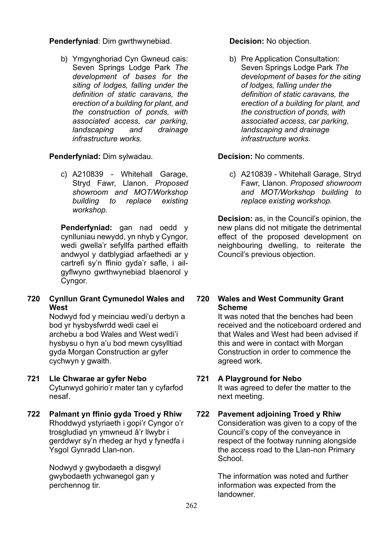**Penderfyniad**: Dim gwrthwynebiad.

b) Ymgynghoriad Cyn Gwneud cais: Seven Springs Lodge Park *The development of bases for the siting of lodges, falling under the definition of static caravans, the erection of a building for plant, and the construction of ponds, with associated access, car parking, landscaping and drainage infrastructure works.* 

# **Penderfyniad:** Dim sylwadau.

c) A210839 - Whitehall Garage, Stryd Fawr, Llanon. *Proposed showroom and MOT/Workshop building to replace existing workshop.*

**Penderfyniad:** gan nad oedd y cynlluniau newydd, yn nhyb y Cyngor, wedi gwella'r sefyllfa parthed effaith andwyol y datblygiad arfaethedi ar y cartrefi sy'n ffinio gyda'r safle, i ailgyflwyno gwrthwynebiad blaenorol y Cyngor.

**720 Cynllun Grant Cymunedol Wales and West**

Nodwyd fod y meinciau wedi'u derbyn a bod yr hysbysfwrdd wedi cael ei archebu a bod Wales and West wedi'i hysbysu o hyn a'u bod mewn cysylltiad gyda Morgan Construction ar gyfer cychwyn y gwaith.

- **721 Lle Chwarae ar gyfer Nebo** Cytunwyd gohirio'r mater tan y cyfarfod nesaf.
- **722 Palmant yn ffinio gyda Troed y Rhiw** Rhoddwyd ystyriaeth i gopi'r Cyngor o'r trosgludiad yn ymwneud â'r llwybr i gerddwyr sy'n rhedeg ar hyd y fynedfa i Ysgol Gynradd Llan-non.

Nodwyd y gwybodaeth a disgwyl gwybodaeth ychwanegol gan y perchennog tir.

**Decision:** No objection.

b) Pre Application Consultation: Seven Springs Lodge Park *The development of bases for the siting of lodges, falling under the definition of static caravans, the erection of a building for plant, and the construction of ponds, with associated access, car parking, landscaping and drainage infrastructure works.*

# **Decision:** No comments.

c) A210839 - Whitehall Garage, Stryd Fawr, Llanon. *Proposed showroom and MOT/Workshop building to replace existing workshop.*

**Decision:** as, in the Council's opinion, the new plans did not mitigate the detrimental effect of the proposed development on neighbouring dwelling, to reiterate the Council's previous objection.

## **720 Wales and West Community Grant Scheme**

It was noted that the benches had been received and the noticeboard ordered and that Wales and West had been advised if this and were in contact with Morgan Construction in order to commence the agreed work.

# **721 A Playground for Nebo**

It was agreed to defer the matter to the next meeting.

# **722 Pavement adjoining Troed y Rhiw**

Consideration was given to a copy of the Council's copy of the conveyance in respect of the footway running alongside the access road to the Llan-non Primary **School** 

The information was noted and further information was expected from the landowner.